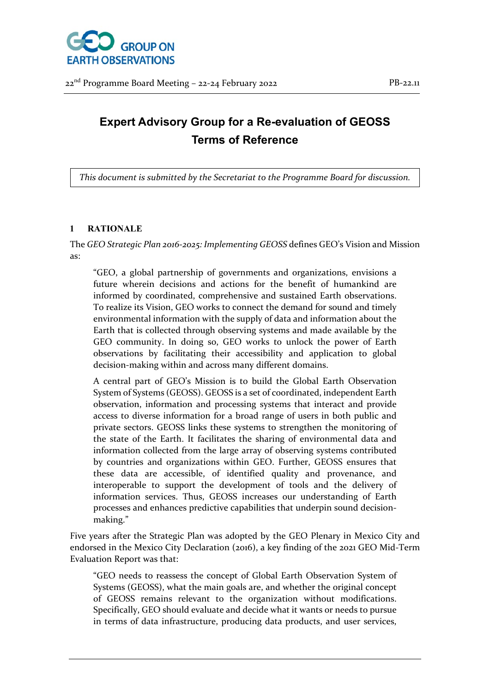

# **Expert Advisory Group for a Re-evaluation of GEOSS Terms of Reference**

*This document is submitted by the Secretariat to the Programme Board for discussion.*

## **1 RATIONALE**

The *GEO Strategic Plan 2016-2025: Implementing GEOSS* defines GEO's Vision and Mission as:

"GEO, a global partnership of governments and organizations, envisions a future wherein decisions and actions for the benefit of humankind are informed by coordinated, comprehensive and sustained Earth observations. To realize its Vision, GEO works to connect the demand for sound and timely environmental information with the supply of data and information about the Earth that is collected through observing systems and made available by the GEO community. In doing so, GEO works to unlock the power of Earth observations by facilitating their accessibility and application to global decision-making within and across many different domains.

A central part of GEO's Mission is to build the Global Earth Observation System of Systems (GEOSS). GEOSS is a set of coordinated, independent Earth observation, information and processing systems that interact and provide access to diverse information for a broad range of users in both public and private sectors. GEOSS links these systems to strengthen the monitoring of the state of the Earth. It facilitates the sharing of environmental data and information collected from the large array of observing systems contributed by countries and organizations within GEO. Further, GEOSS ensures that these data are accessible, of identified quality and provenance, and interoperable to support the development of tools and the delivery of information services. Thus, GEOSS increases our understanding of Earth processes and enhances predictive capabilities that underpin sound decisionmaking."

Five years after the Strategic Plan was adopted by the GEO Plenary in Mexico City and endorsed in the Mexico City Declaration (2016), a key finding of the 2021 GEO Mid-Term Evaluation Report was that:

"GEO needs to reassess the concept of Global Earth Observation System of Systems (GEOSS), what the main goals are, and whether the original concept of GEOSS remains relevant to the organization without modifications. Specifically, GEO should evaluate and decide what it wants or needs to pursue in terms of data infrastructure, producing data products, and user services,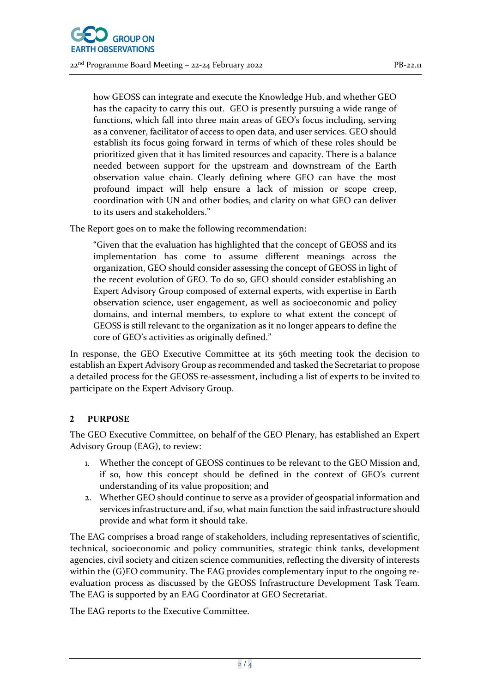

how GEOSS can integrate and execute the Knowledge Hub, and whether GEO has the capacity to carry this out. GEO is presently pursuing a wide range of functions, which fall into three main areas of GEO's focus including, serving as a convener, facilitator of access to open data, and user services. GEO should establish its focus going forward in terms of which of these roles should be prioritized given that it has limited resources and capacity. There is a balance needed between support for the upstream and downstream of the Earth observation value chain. Clearly defining where GEO can have the most profound impact will help ensure a lack of mission or scope creep, coordination with UN and other bodies, and clarity on what GEO can deliver to its users and stakeholders."

The Report goes on to make the following recommendation:

"Given that the evaluation has highlighted that the concept of GEOSS and its implementation has come to assume different meanings across the organization, GEO should consider assessing the concept of GEOSS in light of the recent evolution of GEO. To do so, GEO should consider establishing an Expert Advisory Group composed of external experts, with expertise in Earth observation science, user engagement, as well as socioeconomic and policy domains, and internal members, to explore to what extent the concept of GEOSS is still relevant to the organization as it no longer appears to define the core of GEO's activities as originally defined."

In response, the GEO Executive Committee at its 56th meeting took the decision to establish an Expert Advisory Group as recommended and tasked the Secretariat to propose a detailed process for the GEOSS re-assessment, including a list of experts to be invited to participate on the Expert Advisory Group.

## **2 PURPOSE**

The GEO Executive Committee, on behalf of the GEO Plenary, has established an Expert Advisory Group (EAG), to review:

- 1. Whether the concept of GEOSS continues to be relevant to the GEO Mission and, if so, how this concept should be defined in the context of GEO's current understanding of its value proposition; and
- 2. Whether GEO should continue to serve as a provider of geospatial information and services infrastructure and, if so, what main function the said infrastructure should provide and what form it should take.

The EAG comprises a broad range of stakeholders, including representatives of scientific, technical, socioeconomic and policy communities, strategic think tanks, development agencies, civil society and citizen science communities, reflecting the diversity of interests within the (G)EO community. The EAG provides complementary input to the ongoing reevaluation process as discussed by the GEOSS Infrastructure Development Task Team. The EAG is supported by an EAG Coordinator at GEO Secretariat.

The EAG reports to the Executive Committee.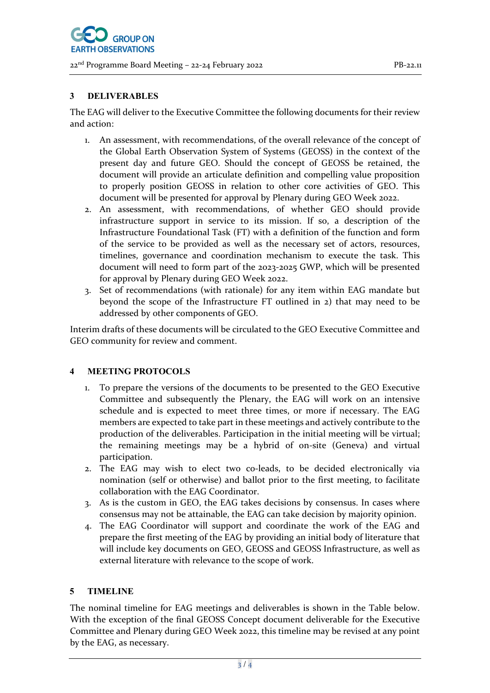## **3 DELIVERABLES**

The EAG will deliver to the Executive Committee the following documents for their review and action:

- 1. An assessment, with recommendations, of the overall relevance of the concept of the Global Earth Observation System of Systems (GEOSS) in the context of the present day and future GEO. Should the concept of GEOSS be retained, the document will provide an articulate definition and compelling value proposition to properly position GEOSS in relation to other core activities of GEO. This document will be presented for approval by Plenary during GEO Week 2022.
- 2. An assessment, with recommendations, of whether GEO should provide infrastructure support in service to its mission. If so, a description of the Infrastructure Foundational Task (FT) with a definition of the function and form of the service to be provided as well as the necessary set of actors, resources, timelines, governance and coordination mechanism to execute the task. This document will need to form part of the 2023-2025 GWP, which will be presented for approval by Plenary during GEO Week 2022.
- 3. Set of recommendations (with rationale) for any item within EAG mandate but beyond the scope of the Infrastructure FT outlined in 2) that may need to be addressed by other components of GEO.

Interim drafts of these documents will be circulated to the GEO Executive Committee and GEO community for review and comment.

#### **4 MEETING PROTOCOLS**

- 1. To prepare the versions of the documents to be presented to the GEO Executive Committee and subsequently the Plenary, the EAG will work on an intensive schedule and is expected to meet three times, or more if necessary. The EAG members are expected to take part in these meetings and actively contribute to the production of the deliverables. Participation in the initial meeting will be virtual; the remaining meetings may be a hybrid of on-site (Geneva) and virtual participation.
- 2. The EAG may wish to elect two co-leads, to be decided electronically via nomination (self or otherwise) and ballot prior to the first meeting, to facilitate collaboration with the EAG Coordinator.
- 3. As is the custom in GEO, the EAG takes decisions by consensus. In cases where consensus may not be attainable, the EAG can take decision by majority opinion.
- 4. The EAG Coordinator will support and coordinate the work of the EAG and prepare the first meeting of the EAG by providing an initial body of literature that will include key documents on GEO, GEOSS and GEOSS Infrastructure, as well as external literature with relevance to the scope of work.

#### **5 TIMELINE**

The nominal timeline for EAG meetings and deliverables is shown in the Table below. With the exception of the final GEOSS Concept document deliverable for the Executive Committee and Plenary during GEO Week 2022, this timeline may be revised at any point by the EAG, as necessary.